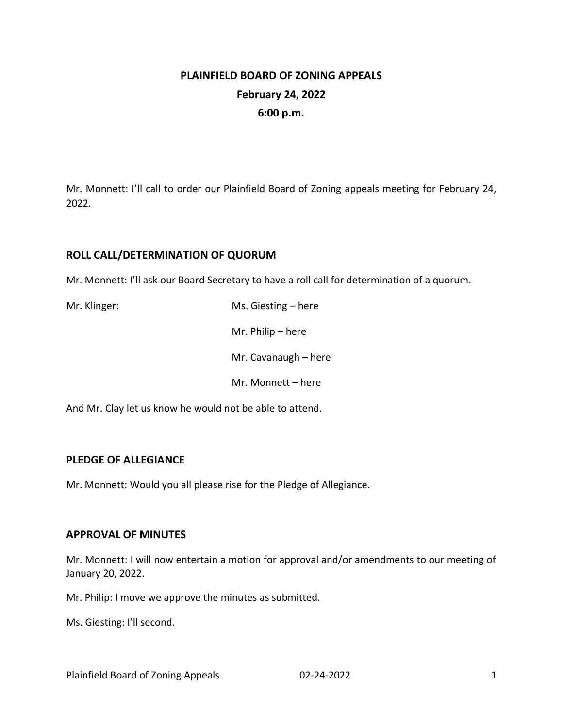# **PLAINFIELD BOARD OF ZONING APPEALS February 24, 2022 6:00 p.m.**

Mr. Monnett: I'll call to order our Plainfield Board of Zoning appeals meeting for February 24, 2022.

## **ROLL CALL/DETERMINATION OF QUORUM**

Mr. Monnett: I'll ask our Board Secretary to have a roll call for determination of a quorum.

| Mr. Klinger: | Ms. Giesting $-$ here |
|--------------|-----------------------|
|              | Mr. Philip $-$ here   |
|              | Mr. Cavanaugh - here  |
|              | Mr. Monnett - here    |

And Mr. Clay let us know he would not be able to attend.

### **PLEDGE OF ALLEGIANCE**

Mr. Monnett: Would you all please rise for the Pledge of Allegiance.

### **APPROVAL OF MINUTES**

Mr. Monnett: I will now entertain a motion for approval and/or amendments to our meeting of January 20, 2022.

Mr. Philip: I move we approve the minutes as submitted.

Ms. Giesting: I'll second.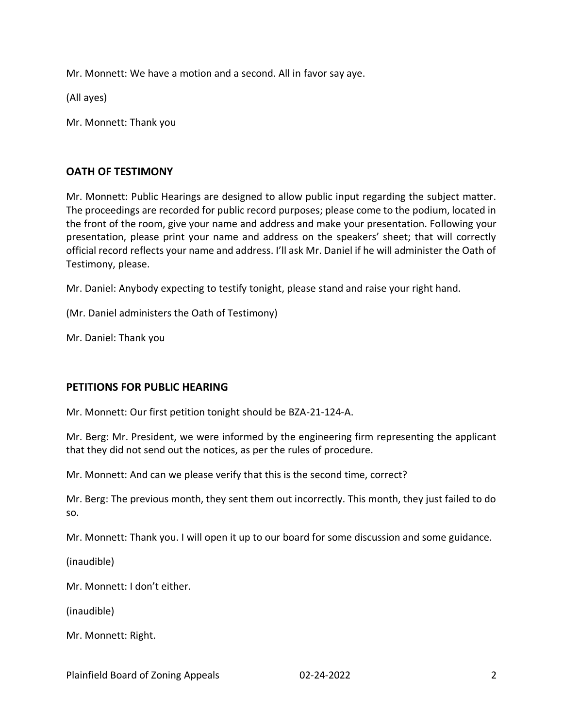Mr. Monnett: We have a motion and a second. All in favor say aye.

(All ayes)

Mr. Monnett: Thank you

#### **OATH OF TESTIMONY**

Mr. Monnett: Public Hearings are designed to allow public input regarding the subject matter. The proceedings are recorded for public record purposes; please come to the podium, located in the front of the room, give your name and address and make your presentation. Following your presentation, please print your name and address on the speakers' sheet; that will correctly official record reflects your name and address. I'll ask Mr. Daniel if he will administer the Oath of Testimony, please.

Mr. Daniel: Anybody expecting to testify tonight, please stand and raise your right hand.

(Mr. Daniel administers the Oath of Testimony)

Mr. Daniel: Thank you

### **PETITIONS FOR PUBLIC HEARING**

Mr. Monnett: Our first petition tonight should be BZA-21-124-A.

Mr. Berg: Mr. President, we were informed by the engineering firm representing the applicant that they did not send out the notices, as per the rules of procedure.

Mr. Monnett: And can we please verify that this is the second time, correct?

Mr. Berg: The previous month, they sent them out incorrectly. This month, they just failed to do so.

Mr. Monnett: Thank you. I will open it up to our board for some discussion and some guidance.

(inaudible)

Mr. Monnett: I don't either.

(inaudible)

Mr. Monnett: Right.

Plainfield Board of Zoning Appeals 02-24-2022 2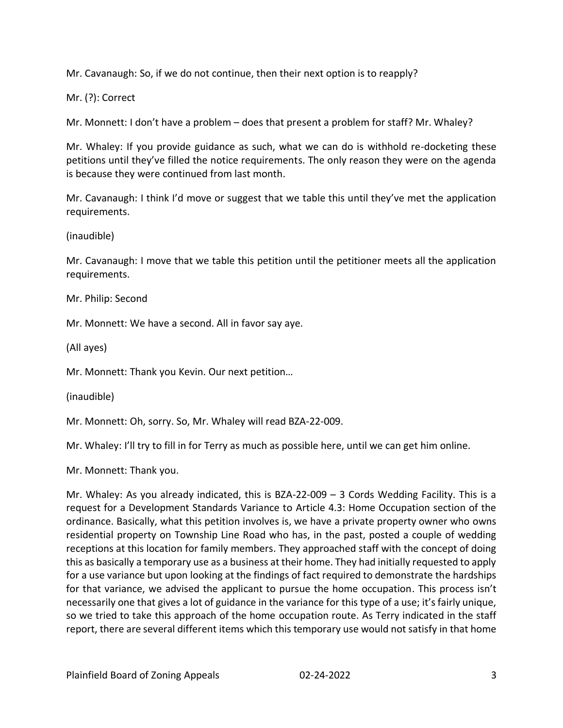Mr. Cavanaugh: So, if we do not continue, then their next option is to reapply?

Mr. (?): Correct

Mr. Monnett: I don't have a problem – does that present a problem for staff? Mr. Whaley?

Mr. Whaley: If you provide guidance as such, what we can do is withhold re-docketing these petitions until they've filled the notice requirements. The only reason they were on the agenda is because they were continued from last month.

Mr. Cavanaugh: I think I'd move or suggest that we table this until they've met the application requirements.

(inaudible)

Mr. Cavanaugh: I move that we table this petition until the petitioner meets all the application requirements.

Mr. Philip: Second

Mr. Monnett: We have a second. All in favor say aye.

(All ayes)

Mr. Monnett: Thank you Kevin. Our next petition…

(inaudible)

Mr. Monnett: Oh, sorry. So, Mr. Whaley will read BZA-22-009.

Mr. Whaley: I'll try to fill in for Terry as much as possible here, until we can get him online.

Mr. Monnett: Thank you.

Mr. Whaley: As you already indicated, this is BZA-22-009 – 3 Cords Wedding Facility. This is a request for a Development Standards Variance to Article 4.3: Home Occupation section of the ordinance. Basically, what this petition involves is, we have a private property owner who owns residential property on Township Line Road who has, in the past, posted a couple of wedding receptions at this location for family members. They approached staff with the concept of doing this as basically a temporary use as a business at their home. They had initially requested to apply for a use variance but upon looking at the findings of fact required to demonstrate the hardships for that variance, we advised the applicant to pursue the home occupation. This process isn't necessarily one that gives a lot of guidance in the variance for this type of a use; it's fairly unique, so we tried to take this approach of the home occupation route. As Terry indicated in the staff report, there are several different items which this temporary use would not satisfy in that home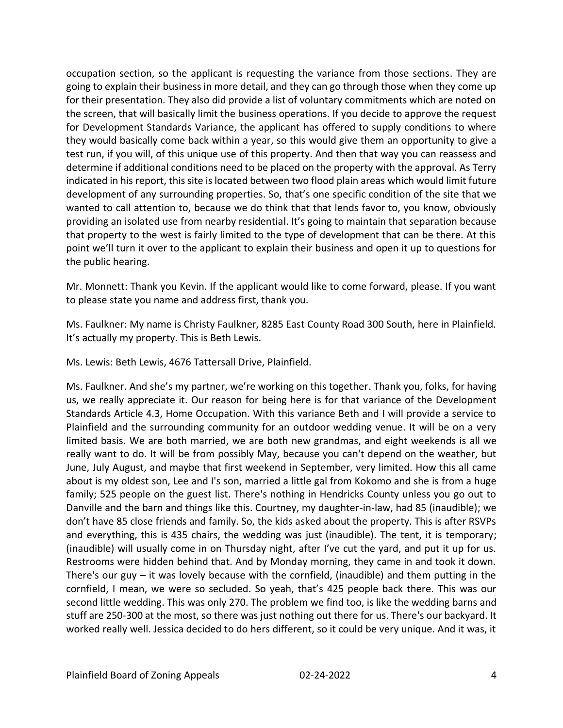occupation section, so the applicant is requesting the variance from those sections. They are going to explain their business in more detail, and they can go through those when they come up for their presentation. They also did provide a list of voluntary commitments which are noted on the screen, that will basically limit the business operations. If you decide to approve the request for Development Standards Variance, the applicant has offered to supply conditions to where they would basically come back within a year, so this would give them an opportunity to give a test run, if you will, of this unique use of this property. And then that way you can reassess and determine if additional conditions need to be placed on the property with the approval. As Terry indicated in his report, this site is located between two flood plain areas which would limit future development of any surrounding properties. So, that's one specific condition of the site that we wanted to call attention to, because we do think that that lends favor to, you know, obviously providing an isolated use from nearby residential. It's going to maintain that separation because that property to the west is fairly limited to the type of development that can be there. At this point we'll turn it over to the applicant to explain their business and open it up to questions for the public hearing.

Mr. Monnett: Thank you Kevin. If the applicant would like to come forward, please. If you want to please state you name and address first, thank you.

Ms. Faulkner: My name is Christy Faulkner, 8285 East County Road 300 South, here in Plainfield. It's actually my property. This is Beth Lewis.

Ms. Lewis: Beth Lewis, 4676 Tattersall Drive, Plainfield.

Ms. Faulkner. And she's my partner, we're working on this together. Thank you, folks, for having us, we really appreciate it. Our reason for being here is for that variance of the Development Standards Article 4.3, Home Occupation. With this variance Beth and I will provide a service to Plainfield and the surrounding community for an outdoor wedding venue. It will be on a very limited basis. We are both married, we are both new grandmas, and eight weekends is all we really want to do. It will be from possibly May, because you can't depend on the weather, but June, July August, and maybe that first weekend in September, very limited. How this all came about is my oldest son, Lee and I's son, married a little gal from Kokomo and she is from a huge family; 525 people on the guest list. There's nothing in Hendricks County unless you go out to Danville and the barn and things like this. Courtney, my daughter-in-law, had 85 (inaudible); we don't have 85 close friends and family. So, the kids asked about the property. This is after RSVPs and everything, this is 435 chairs, the wedding was just (inaudible). The tent, it is temporary; (inaudible) will usually come in on Thursday night, after I've cut the yard, and put it up for us. Restrooms were hidden behind that. And by Monday morning, they came in and took it down. There's our guy – it was lovely because with the cornfield, (inaudible) and them putting in the cornfield, I mean, we were so secluded. So yeah, that's 425 people back there. This was our second little wedding. This was only 270. The problem we find too, is like the wedding barns and stuff are 250-300 at the most, so there was just nothing out there for us. There's our backyard. It worked really well. Jessica decided to do hers different, so it could be very unique. And it was, it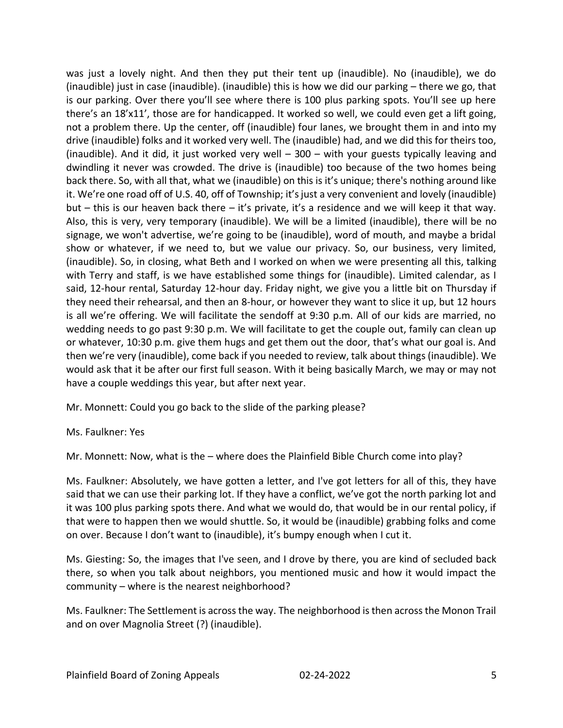was just a lovely night. And then they put their tent up (inaudible). No (inaudible), we do (inaudible) just in case (inaudible). (inaudible) this is how we did our parking – there we go, that is our parking. Over there you'll see where there is 100 plus parking spots. You'll see up here there's an 18'x11', those are for handicapped. It worked so well, we could even get a lift going, not a problem there. Up the center, off (inaudible) four lanes, we brought them in and into my drive (inaudible) folks and it worked very well. The (inaudible) had, and we did this for theirs too, (inaudible). And it did, it just worked very well – 300 – with your guests typically leaving and dwindling it never was crowded. The drive is (inaudible) too because of the two homes being back there. So, with all that, what we (inaudible) on this is it's unique; there's nothing around like it. We're one road off of U.S. 40, off of Township; it's just a very convenient and lovely (inaudible) but – this is our heaven back there – it's private, it's a residence and we will keep it that way. Also, this is very, very temporary (inaudible). We will be a limited (inaudible), there will be no signage, we won't advertise, we're going to be (inaudible), word of mouth, and maybe a bridal show or whatever, if we need to, but we value our privacy. So, our business, very limited, (inaudible). So, in closing, what Beth and I worked on when we were presenting all this, talking with Terry and staff, is we have established some things for (inaudible). Limited calendar, as I said, 12-hour rental, Saturday 12-hour day. Friday night, we give you a little bit on Thursday if they need their rehearsal, and then an 8-hour, or however they want to slice it up, but 12 hours is all we're offering. We will facilitate the sendoff at 9:30 p.m. All of our kids are married, no wedding needs to go past 9:30 p.m. We will facilitate to get the couple out, family can clean up or whatever, 10:30 p.m. give them hugs and get them out the door, that's what our goal is. And then we're very (inaudible), come back if you needed to review, talk about things (inaudible). We would ask that it be after our first full season. With it being basically March, we may or may not have a couple weddings this year, but after next year.

Mr. Monnett: Could you go back to the slide of the parking please?

Ms. Faulkner: Yes

Mr. Monnett: Now, what is the – where does the Plainfield Bible Church come into play?

Ms. Faulkner: Absolutely, we have gotten a letter, and I've got letters for all of this, they have said that we can use their parking lot. If they have a conflict, we've got the north parking lot and it was 100 plus parking spots there. And what we would do, that would be in our rental policy, if that were to happen then we would shuttle. So, it would be (inaudible) grabbing folks and come on over. Because I don't want to (inaudible), it's bumpy enough when I cut it.

Ms. Giesting: So, the images that I've seen, and I drove by there, you are kind of secluded back there, so when you talk about neighbors, you mentioned music and how it would impact the community – where is the nearest neighborhood?

Ms. Faulkner: The Settlement is across the way. The neighborhood is then across the Monon Trail and on over Magnolia Street (?) (inaudible).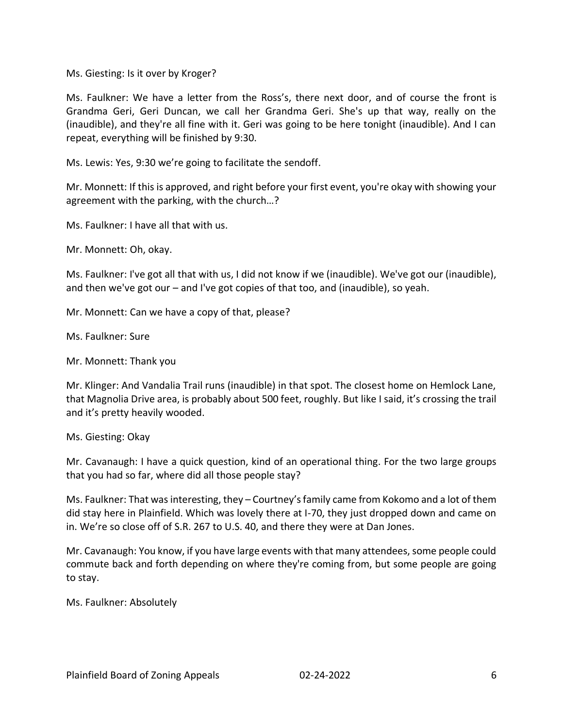Ms. Giesting: Is it over by Kroger?

Ms. Faulkner: We have a letter from the Ross's, there next door, and of course the front is Grandma Geri, Geri Duncan, we call her Grandma Geri. She's up that way, really on the (inaudible), and they're all fine with it. Geri was going to be here tonight (inaudible). And I can repeat, everything will be finished by 9:30.

Ms. Lewis: Yes, 9:30 we're going to facilitate the sendoff.

Mr. Monnett: If this is approved, and right before your first event, you're okay with showing your agreement with the parking, with the church…?

Ms. Faulkner: I have all that with us.

Mr. Monnett: Oh, okay.

Ms. Faulkner: I've got all that with us, I did not know if we (inaudible). We've got our (inaudible), and then we've got our – and I've got copies of that too, and (inaudible), so yeah.

Mr. Monnett: Can we have a copy of that, please?

Ms. Faulkner: Sure

Mr. Monnett: Thank you

Mr. Klinger: And Vandalia Trail runs (inaudible) in that spot. The closest home on Hemlock Lane, that Magnolia Drive area, is probably about 500 feet, roughly. But like I said, it's crossing the trail and it's pretty heavily wooded.

Ms. Giesting: Okay

Mr. Cavanaugh: I have a quick question, kind of an operational thing. For the two large groups that you had so far, where did all those people stay?

Ms. Faulkner: That was interesting, they – Courtney's family came from Kokomo and a lot of them did stay here in Plainfield. Which was lovely there at I-70, they just dropped down and came on in. We're so close off of S.R. 267 to U.S. 40, and there they were at Dan Jones.

Mr. Cavanaugh: You know, if you have large events with that many attendees, some people could commute back and forth depending on where they're coming from, but some people are going to stay.

Ms. Faulkner: Absolutely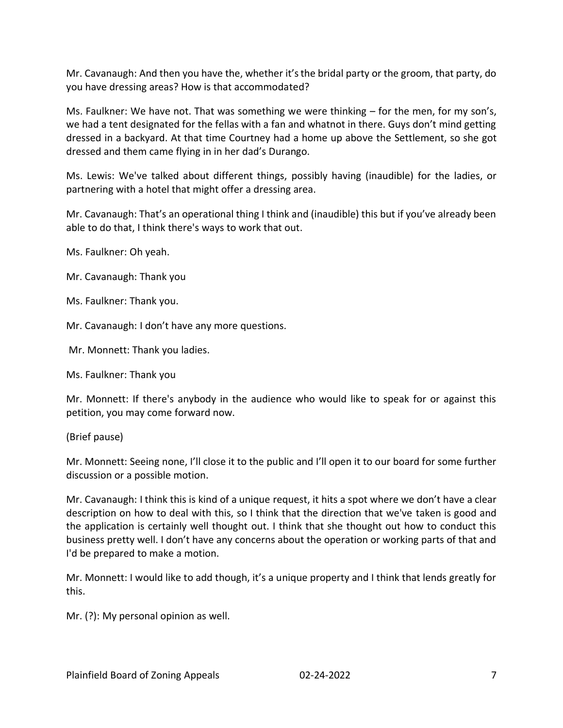Mr. Cavanaugh: And then you have the, whether it's the bridal party or the groom, that party, do you have dressing areas? How is that accommodated?

Ms. Faulkner: We have not. That was something we were thinking – for the men, for my son's, we had a tent designated for the fellas with a fan and whatnot in there. Guys don't mind getting dressed in a backyard. At that time Courtney had a home up above the Settlement, so she got dressed and them came flying in in her dad's Durango.

Ms. Lewis: We've talked about different things, possibly having (inaudible) for the ladies, or partnering with a hotel that might offer a dressing area.

Mr. Cavanaugh: That's an operational thing I think and (inaudible) this but if you've already been able to do that, I think there's ways to work that out.

Ms. Faulkner: Oh yeah.

Mr. Cavanaugh: Thank you

Ms. Faulkner: Thank you.

Mr. Cavanaugh: I don't have any more questions.

Mr. Monnett: Thank you ladies.

Ms. Faulkner: Thank you

Mr. Monnett: If there's anybody in the audience who would like to speak for or against this petition, you may come forward now.

(Brief pause)

Mr. Monnett: Seeing none, I'll close it to the public and I'll open it to our board for some further discussion or a possible motion.

Mr. Cavanaugh: I think this is kind of a unique request, it hits a spot where we don't have a clear description on how to deal with this, so I think that the direction that we've taken is good and the application is certainly well thought out. I think that she thought out how to conduct this business pretty well. I don't have any concerns about the operation or working parts of that and I'd be prepared to make a motion.

Mr. Monnett: I would like to add though, it's a unique property and I think that lends greatly for this.

Mr. (?): My personal opinion as well.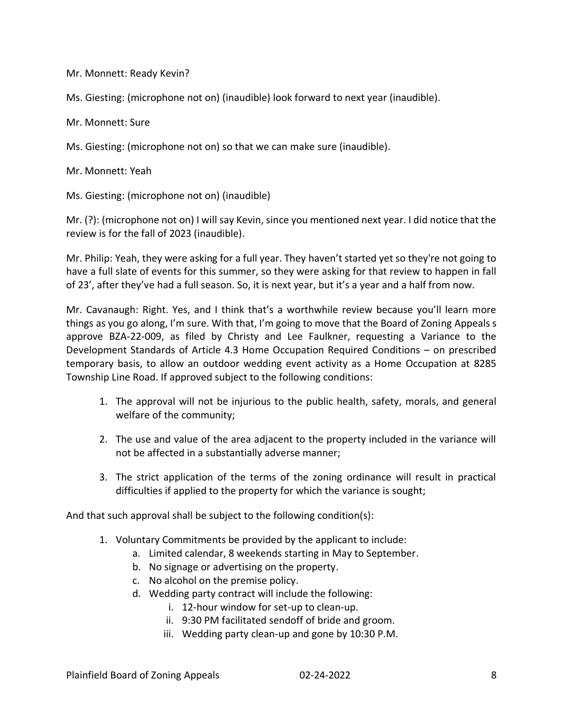Mr. Monnett: Ready Kevin?

Ms. Giesting: (microphone not on) (inaudible) look forward to next year (inaudible).

Mr. Monnett: Sure

Ms. Giesting: (microphone not on) so that we can make sure (inaudible).

Mr. Monnett: Yeah

Ms. Giesting: (microphone not on) (inaudible)

Mr. (?): (microphone not on) I will say Kevin, since you mentioned next year. I did notice that the review is for the fall of 2023 (inaudible).

Mr. Philip: Yeah, they were asking for a full year. They haven't started yet so they're not going to have a full slate of events for this summer, so they were asking for that review to happen in fall of 23', after they've had a full season. So, it is next year, but it's a year and a half from now.

Mr. Cavanaugh: Right. Yes, and I think that's a worthwhile review because you'll learn more things as you go along, I'm sure. With that, I'm going to move that the Board of Zoning Appeals s approve BZA-22-009, as filed by Christy and Lee Faulkner, requesting a Variance to the Development Standards of Article 4.3 Home Occupation Required Conditions – on prescribed temporary basis, to allow an outdoor wedding event activity as a Home Occupation at 8285 Township Line Road. If approved subject to the following conditions:

- 1. The approval will not be injurious to the public health, safety, morals, and general welfare of the community;
- 2. The use and value of the area adjacent to the property included in the variance will not be affected in a substantially adverse manner;
- 3. The strict application of the terms of the zoning ordinance will result in practical difficulties if applied to the property for which the variance is sought;

And that such approval shall be subject to the following condition(s):

- 1. Voluntary Commitments be provided by the applicant to include:
	- a. Limited calendar, 8 weekends starting in May to September.
	- b. No signage or advertising on the property.
	- c. No alcohol on the premise policy.
	- d. Wedding party contract will include the following:
		- i. 12-hour window for set-up to clean-up.
		- ii. 9:30 PM facilitated sendoff of bride and groom.
		- iii. Wedding party clean-up and gone by 10:30 P.M.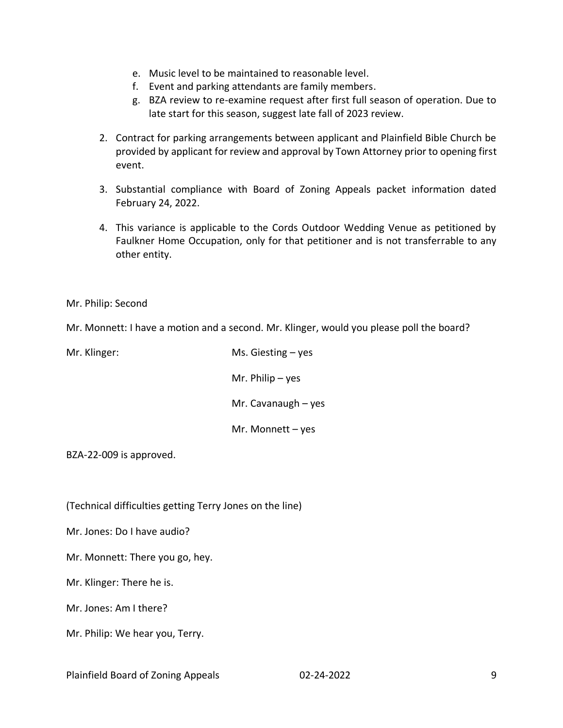- e. Music level to be maintained to reasonable level.
- f. Event and parking attendants are family members.
- g. BZA review to re-examine request after first full season of operation. Due to late start for this season, suggest late fall of 2023 review.
- 2. Contract for parking arrangements between applicant and Plainfield Bible Church be provided by applicant for review and approval by Town Attorney prior to opening first event.
- 3. Substantial compliance with Board of Zoning Appeals packet information dated February 24, 2022.
- 4. This variance is applicable to the Cords Outdoor Wedding Venue as petitioned by Faulkner Home Occupation, only for that petitioner and is not transferrable to any other entity.

Mr. Philip: Second

Mr. Monnett: I have a motion and a second. Mr. Klinger, would you please poll the board?

| Mr. Klinger: | Ms. Giesting $-$ yes  |
|--------------|-----------------------|
|              | Mr. Philip $-$ yes    |
|              | Mr. Cavanaugh $-$ yes |
|              | Mr. Monnett $-$ yes   |

BZA-22-009 is approved.

(Technical difficulties getting Terry Jones on the line)

Mr. Jones: Do I have audio?

Mr. Monnett: There you go, hey.

Mr. Klinger: There he is.

Mr. Jones: Am I there?

Mr. Philip: We hear you, Terry.

Plainfield Board of Zoning Appeals 02-24-2022 9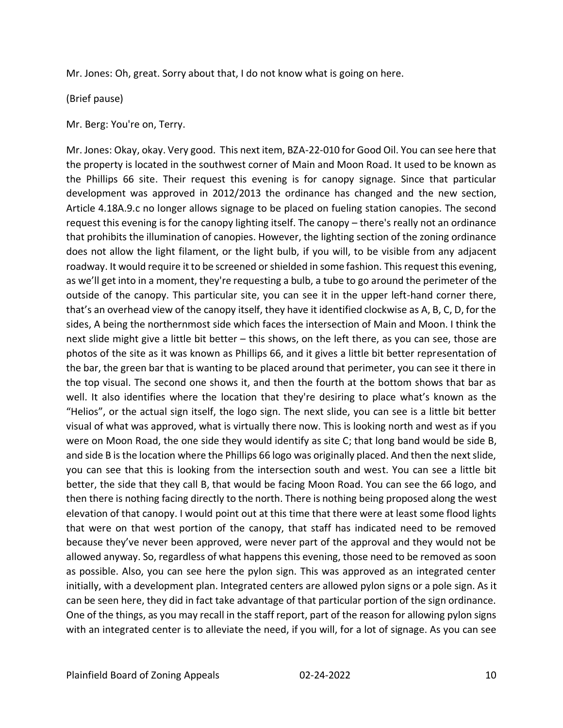Mr. Jones: Oh, great. Sorry about that, I do not know what is going on here.

(Brief pause)

Mr. Berg: You're on, Terry.

Mr. Jones: Okay, okay. Very good. This next item, BZA-22-010 for Good Oil. You can see here that the property is located in the southwest corner of Main and Moon Road. It used to be known as the Phillips 66 site. Their request this evening is for canopy signage. Since that particular development was approved in 2012/2013 the ordinance has changed and the new section, Article 4.18A.9.c no longer allows signage to be placed on fueling station canopies. The second request this evening is for the canopy lighting itself. The canopy – there's really not an ordinance that prohibits the illumination of canopies. However, the lighting section of the zoning ordinance does not allow the light filament, or the light bulb, if you will, to be visible from any adjacent roadway. It would require it to be screened or shielded in some fashion. This request this evening, as we'll get into in a moment, they're requesting a bulb, a tube to go around the perimeter of the outside of the canopy. This particular site, you can see it in the upper left-hand corner there, that's an overhead view of the canopy itself, they have it identified clockwise as A, B, C, D, for the sides, A being the northernmost side which faces the intersection of Main and Moon. I think the next slide might give a little bit better – this shows, on the left there, as you can see, those are photos of the site as it was known as Phillips 66, and it gives a little bit better representation of the bar, the green bar that is wanting to be placed around that perimeter, you can see it there in the top visual. The second one shows it, and then the fourth at the bottom shows that bar as well. It also identifies where the location that they're desiring to place what's known as the "Helios", or the actual sign itself, the logo sign. The next slide, you can see is a little bit better visual of what was approved, what is virtually there now. This is looking north and west as if you were on Moon Road, the one side they would identify as site C; that long band would be side B, and side B is the location where the Phillips 66 logo was originally placed. And then the next slide, you can see that this is looking from the intersection south and west. You can see a little bit better, the side that they call B, that would be facing Moon Road. You can see the 66 logo, and then there is nothing facing directly to the north. There is nothing being proposed along the west elevation of that canopy. I would point out at this time that there were at least some flood lights that were on that west portion of the canopy, that staff has indicated need to be removed because they've never been approved, were never part of the approval and they would not be allowed anyway. So, regardless of what happens this evening, those need to be removed as soon as possible. Also, you can see here the pylon sign. This was approved as an integrated center initially, with a development plan. Integrated centers are allowed pylon signs or a pole sign. As it can be seen here, they did in fact take advantage of that particular portion of the sign ordinance. One of the things, as you may recall in the staff report, part of the reason for allowing pylon signs with an integrated center is to alleviate the need, if you will, for a lot of signage. As you can see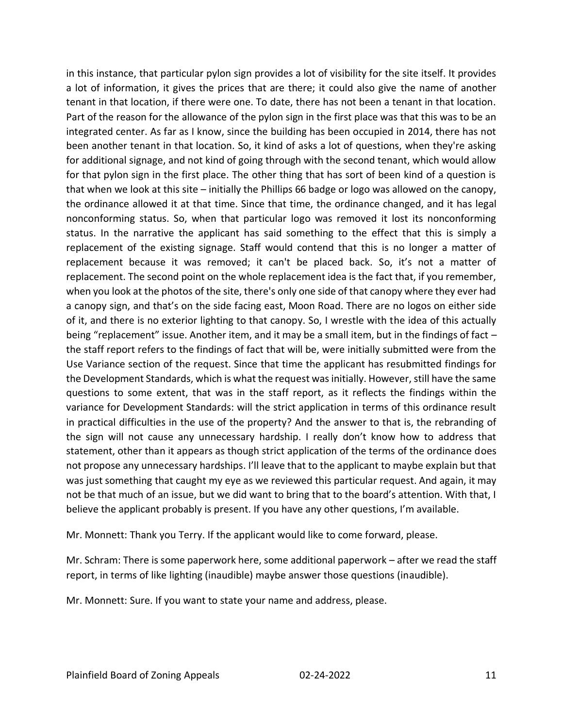in this instance, that particular pylon sign provides a lot of visibility for the site itself. It provides a lot of information, it gives the prices that are there; it could also give the name of another tenant in that location, if there were one. To date, there has not been a tenant in that location. Part of the reason for the allowance of the pylon sign in the first place was that this was to be an integrated center. As far as I know, since the building has been occupied in 2014, there has not been another tenant in that location. So, it kind of asks a lot of questions, when they're asking for additional signage, and not kind of going through with the second tenant, which would allow for that pylon sign in the first place. The other thing that has sort of been kind of a question is that when we look at this site – initially the Phillips 66 badge or logo was allowed on the canopy, the ordinance allowed it at that time. Since that time, the ordinance changed, and it has legal nonconforming status. So, when that particular logo was removed it lost its nonconforming status. In the narrative the applicant has said something to the effect that this is simply a replacement of the existing signage. Staff would contend that this is no longer a matter of replacement because it was removed; it can't be placed back. So, it's not a matter of replacement. The second point on the whole replacement idea is the fact that, if you remember, when you look at the photos of the site, there's only one side of that canopy where they ever had a canopy sign, and that's on the side facing east, Moon Road. There are no logos on either side of it, and there is no exterior lighting to that canopy. So, I wrestle with the idea of this actually being "replacement" issue. Another item, and it may be a small item, but in the findings of fact – the staff report refers to the findings of fact that will be, were initially submitted were from the Use Variance section of the request. Since that time the applicant has resubmitted findings for the Development Standards, which is what the request was initially. However, still have the same questions to some extent, that was in the staff report, as it reflects the findings within the variance for Development Standards: will the strict application in terms of this ordinance result in practical difficulties in the use of the property? And the answer to that is, the rebranding of the sign will not cause any unnecessary hardship. I really don't know how to address that statement, other than it appears as though strict application of the terms of the ordinance does not propose any unnecessary hardships. I'll leave that to the applicant to maybe explain but that was just something that caught my eye as we reviewed this particular request. And again, it may not be that much of an issue, but we did want to bring that to the board's attention. With that, I believe the applicant probably is present. If you have any other questions, I'm available.

Mr. Monnett: Thank you Terry. If the applicant would like to come forward, please.

Mr. Schram: There is some paperwork here, some additional paperwork – after we read the staff report, in terms of like lighting (inaudible) maybe answer those questions (inaudible).

Mr. Monnett: Sure. If you want to state your name and address, please.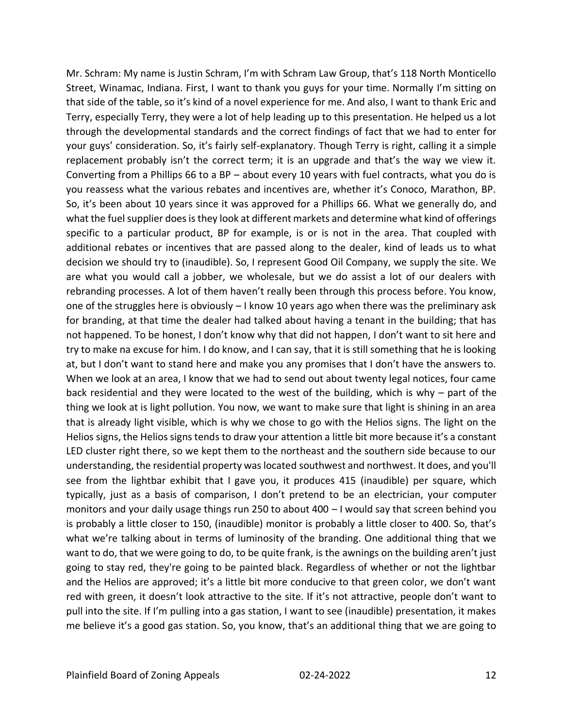Mr. Schram: My name is Justin Schram, I'm with Schram Law Group, that's 118 North Monticello Street, Winamac, Indiana. First, I want to thank you guys for your time. Normally I'm sitting on that side of the table, so it's kind of a novel experience for me. And also, I want to thank Eric and Terry, especially Terry, they were a lot of help leading up to this presentation. He helped us a lot through the developmental standards and the correct findings of fact that we had to enter for your guys' consideration. So, it's fairly self-explanatory. Though Terry is right, calling it a simple replacement probably isn't the correct term; it is an upgrade and that's the way we view it. Converting from a Phillips 66 to a BP – about every 10 years with fuel contracts, what you do is you reassess what the various rebates and incentives are, whether it's Conoco, Marathon, BP. So, it's been about 10 years since it was approved for a Phillips 66. What we generally do, and what the fuel supplier does is they look at different markets and determine what kind of offerings specific to a particular product, BP for example, is or is not in the area. That coupled with additional rebates or incentives that are passed along to the dealer, kind of leads us to what decision we should try to (inaudible). So, I represent Good Oil Company, we supply the site. We are what you would call a jobber, we wholesale, but we do assist a lot of our dealers with rebranding processes. A lot of them haven't really been through this process before. You know, one of the struggles here is obviously – I know 10 years ago when there was the preliminary ask for branding, at that time the dealer had talked about having a tenant in the building; that has not happened. To be honest, I don't know why that did not happen, I don't want to sit here and try to make na excuse for him. I do know, and I can say, that it is still something that he is looking at, but I don't want to stand here and make you any promises that I don't have the answers to. When we look at an area, I know that we had to send out about twenty legal notices, four came back residential and they were located to the west of the building, which is why – part of the thing we look at is light pollution. You now, we want to make sure that light is shining in an area that is already light visible, which is why we chose to go with the Helios signs. The light on the Helios signs, the Helios signs tends to draw your attention a little bit more because it's a constant LED cluster right there, so we kept them to the northeast and the southern side because to our understanding, the residential property was located southwest and northwest. It does, and you'll see from the lightbar exhibit that I gave you, it produces 415 (inaudible) per square, which typically, just as a basis of comparison, I don't pretend to be an electrician, your computer monitors and your daily usage things run 250 to about 400 – I would say that screen behind you is probably a little closer to 150, (inaudible) monitor is probably a little closer to 400. So, that's what we're talking about in terms of luminosity of the branding. One additional thing that we want to do, that we were going to do, to be quite frank, is the awnings on the building aren't just going to stay red, they're going to be painted black. Regardless of whether or not the lightbar and the Helios are approved; it's a little bit more conducive to that green color, we don't want red with green, it doesn't look attractive to the site. If it's not attractive, people don't want to pull into the site. If I'm pulling into a gas station, I want to see (inaudible) presentation, it makes me believe it's a good gas station. So, you know, that's an additional thing that we are going to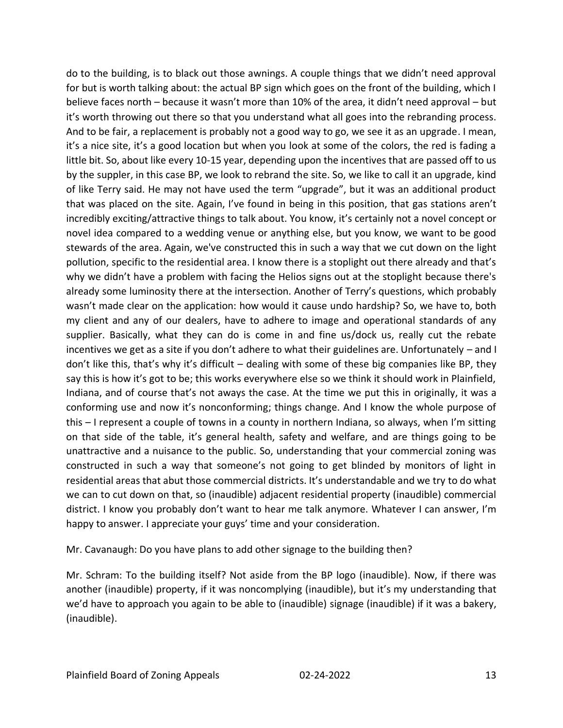do to the building, is to black out those awnings. A couple things that we didn't need approval for but is worth talking about: the actual BP sign which goes on the front of the building, which I believe faces north – because it wasn't more than 10% of the area, it didn't need approval – but it's worth throwing out there so that you understand what all goes into the rebranding process. And to be fair, a replacement is probably not a good way to go, we see it as an upgrade. I mean, it's a nice site, it's a good location but when you look at some of the colors, the red is fading a little bit. So, about like every 10-15 year, depending upon the incentives that are passed off to us by the suppler, in this case BP, we look to rebrand the site. So, we like to call it an upgrade, kind of like Terry said. He may not have used the term "upgrade", but it was an additional product that was placed on the site. Again, I've found in being in this position, that gas stations aren't incredibly exciting/attractive things to talk about. You know, it's certainly not a novel concept or novel idea compared to a wedding venue or anything else, but you know, we want to be good stewards of the area. Again, we've constructed this in such a way that we cut down on the light pollution, specific to the residential area. I know there is a stoplight out there already and that's why we didn't have a problem with facing the Helios signs out at the stoplight because there's already some luminosity there at the intersection. Another of Terry's questions, which probably wasn't made clear on the application: how would it cause undo hardship? So, we have to, both my client and any of our dealers, have to adhere to image and operational standards of any supplier. Basically, what they can do is come in and fine us/dock us, really cut the rebate incentives we get as a site if you don't adhere to what their guidelines are. Unfortunately – and I don't like this, that's why it's difficult – dealing with some of these big companies like BP, they say this is how it's got to be; this works everywhere else so we think it should work in Plainfield, Indiana, and of course that's not aways the case. At the time we put this in originally, it was a conforming use and now it's nonconforming; things change. And I know the whole purpose of this – I represent a couple of towns in a county in northern Indiana, so always, when I'm sitting on that side of the table, it's general health, safety and welfare, and are things going to be unattractive and a nuisance to the public. So, understanding that your commercial zoning was constructed in such a way that someone's not going to get blinded by monitors of light in residential areas that abut those commercial districts. It's understandable and we try to do what we can to cut down on that, so (inaudible) adjacent residential property (inaudible) commercial district. I know you probably don't want to hear me talk anymore. Whatever I can answer, I'm happy to answer. I appreciate your guys' time and your consideration.

Mr. Cavanaugh: Do you have plans to add other signage to the building then?

Mr. Schram: To the building itself? Not aside from the BP logo (inaudible). Now, if there was another (inaudible) property, if it was noncomplying (inaudible), but it's my understanding that we'd have to approach you again to be able to (inaudible) signage (inaudible) if it was a bakery, (inaudible).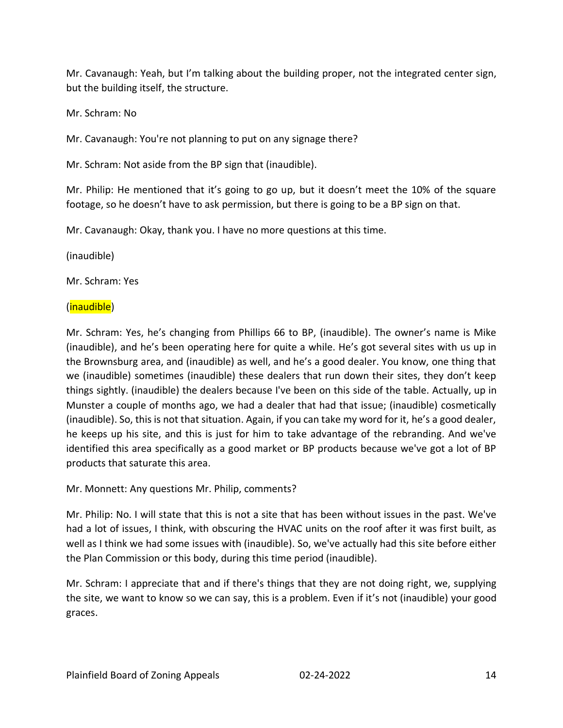Mr. Cavanaugh: Yeah, but I'm talking about the building proper, not the integrated center sign, but the building itself, the structure.

Mr. Schram: No

Mr. Cavanaugh: You're not planning to put on any signage there?

Mr. Schram: Not aside from the BP sign that (inaudible).

Mr. Philip: He mentioned that it's going to go up, but it doesn't meet the 10% of the square footage, so he doesn't have to ask permission, but there is going to be a BP sign on that.

Mr. Cavanaugh: Okay, thank you. I have no more questions at this time.

(inaudible)

Mr. Schram: Yes

### (inaudible)

Mr. Schram: Yes, he's changing from Phillips 66 to BP, (inaudible). The owner's name is Mike (inaudible), and he's been operating here for quite a while. He's got several sites with us up in the Brownsburg area, and (inaudible) as well, and he's a good dealer. You know, one thing that we (inaudible) sometimes (inaudible) these dealers that run down their sites, they don't keep things sightly. (inaudible) the dealers because I've been on this side of the table. Actually, up in Munster a couple of months ago, we had a dealer that had that issue; (inaudible) cosmetically (inaudible). So, this is not that situation. Again, if you can take my word for it, he's a good dealer, he keeps up his site, and this is just for him to take advantage of the rebranding. And we've identified this area specifically as a good market or BP products because we've got a lot of BP products that saturate this area.

Mr. Monnett: Any questions Mr. Philip, comments?

Mr. Philip: No. I will state that this is not a site that has been without issues in the past. We've had a lot of issues, I think, with obscuring the HVAC units on the roof after it was first built, as well as I think we had some issues with (inaudible). So, we've actually had this site before either the Plan Commission or this body, during this time period (inaudible).

Mr. Schram: I appreciate that and if there's things that they are not doing right, we, supplying the site, we want to know so we can say, this is a problem. Even if it's not (inaudible) your good graces.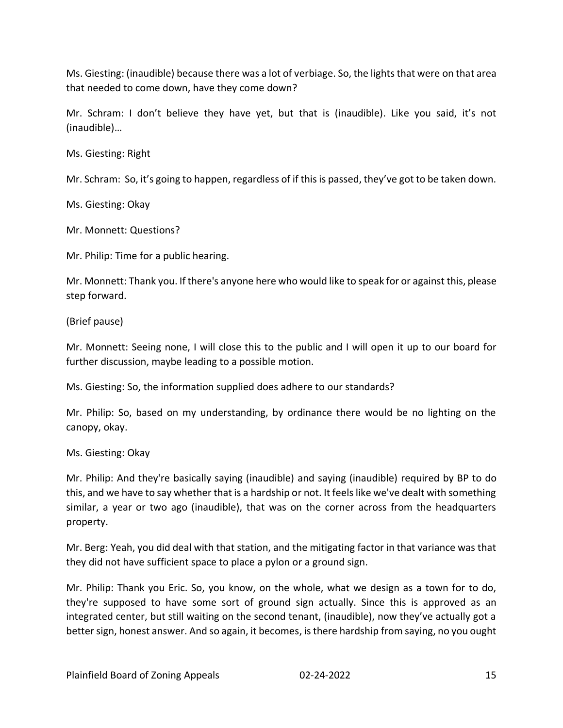Ms. Giesting: (inaudible) because there was a lot of verbiage. So, the lights that were on that area that needed to come down, have they come down?

Mr. Schram: I don't believe they have yet, but that is (inaudible). Like you said, it's not (inaudible)…

Ms. Giesting: Right

Mr. Schram: So, it's going to happen, regardless of if this is passed, they've got to be taken down.

Ms. Giesting: Okay

Mr. Monnett: Questions?

Mr. Philip: Time for a public hearing.

Mr. Monnett: Thank you. If there's anyone here who would like to speak for or against this, please step forward.

(Brief pause)

Mr. Monnett: Seeing none, I will close this to the public and I will open it up to our board for further discussion, maybe leading to a possible motion.

Ms. Giesting: So, the information supplied does adhere to our standards?

Mr. Philip: So, based on my understanding, by ordinance there would be no lighting on the canopy, okay.

Ms. Giesting: Okay

Mr. Philip: And they're basically saying (inaudible) and saying (inaudible) required by BP to do this, and we have to say whether that is a hardship or not. It feels like we've dealt with something similar, a year or two ago (inaudible), that was on the corner across from the headquarters property.

Mr. Berg: Yeah, you did deal with that station, and the mitigating factor in that variance was that they did not have sufficient space to place a pylon or a ground sign.

Mr. Philip: Thank you Eric. So, you know, on the whole, what we design as a town for to do, they're supposed to have some sort of ground sign actually. Since this is approved as an integrated center, but still waiting on the second tenant, (inaudible), now they've actually got a better sign, honest answer. And so again, it becomes, is there hardship from saying, no you ought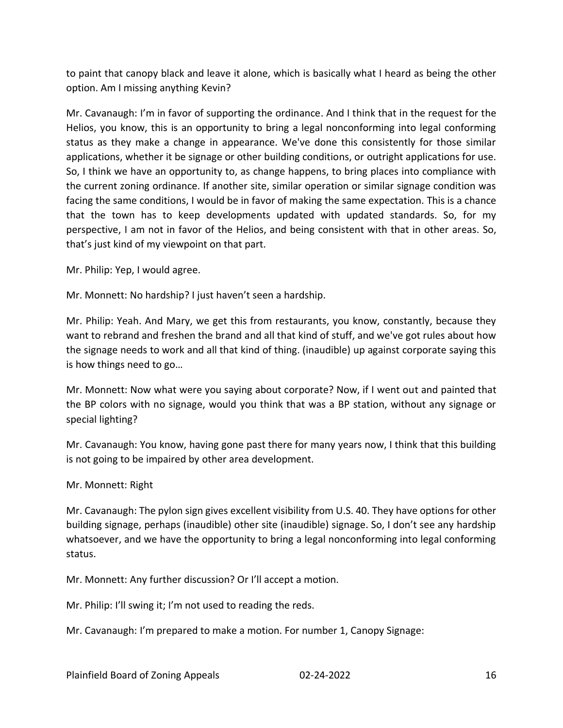to paint that canopy black and leave it alone, which is basically what I heard as being the other option. Am I missing anything Kevin?

Mr. Cavanaugh: I'm in favor of supporting the ordinance. And I think that in the request for the Helios, you know, this is an opportunity to bring a legal nonconforming into legal conforming status as they make a change in appearance. We've done this consistently for those similar applications, whether it be signage or other building conditions, or outright applications for use. So, I think we have an opportunity to, as change happens, to bring places into compliance with the current zoning ordinance. If another site, similar operation or similar signage condition was facing the same conditions, I would be in favor of making the same expectation. This is a chance that the town has to keep developments updated with updated standards. So, for my perspective, I am not in favor of the Helios, and being consistent with that in other areas. So, that's just kind of my viewpoint on that part.

Mr. Philip: Yep, I would agree.

Mr. Monnett: No hardship? I just haven't seen a hardship.

Mr. Philip: Yeah. And Mary, we get this from restaurants, you know, constantly, because they want to rebrand and freshen the brand and all that kind of stuff, and we've got rules about how the signage needs to work and all that kind of thing. (inaudible) up against corporate saying this is how things need to go…

Mr. Monnett: Now what were you saying about corporate? Now, if I went out and painted that the BP colors with no signage, would you think that was a BP station, without any signage or special lighting?

Mr. Cavanaugh: You know, having gone past there for many years now, I think that this building is not going to be impaired by other area development.

Mr. Monnett: Right

Mr. Cavanaugh: The pylon sign gives excellent visibility from U.S. 40. They have options for other building signage, perhaps (inaudible) other site (inaudible) signage. So, I don't see any hardship whatsoever, and we have the opportunity to bring a legal nonconforming into legal conforming status.

Mr. Monnett: Any further discussion? Or I'll accept a motion.

Mr. Philip: I'll swing it; I'm not used to reading the reds.

Mr. Cavanaugh: I'm prepared to make a motion. For number 1, Canopy Signage: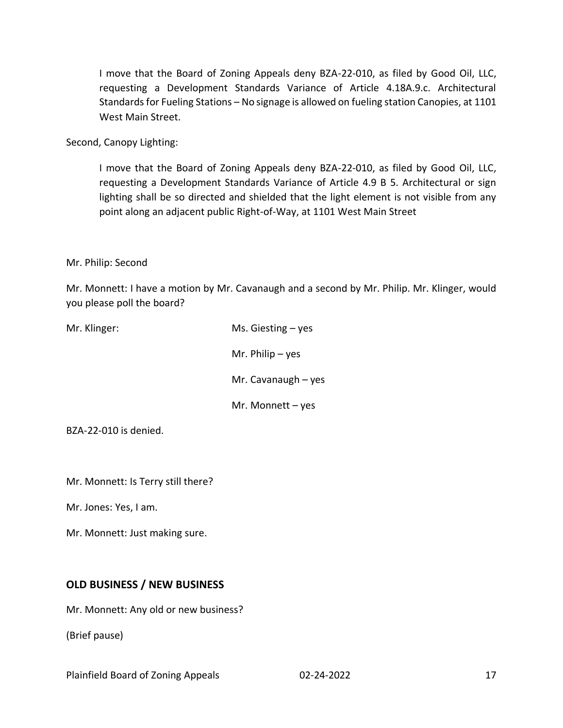I move that the Board of Zoning Appeals deny BZA-22-010, as filed by Good Oil, LLC, requesting a Development Standards Variance of Article 4.18A.9.c. Architectural Standards for Fueling Stations – No signage is allowed on fueling station Canopies, at 1101 West Main Street.

Second, Canopy Lighting:

I move that the Board of Zoning Appeals deny BZA-22-010, as filed by Good Oil, LLC, requesting a Development Standards Variance of Article 4.9 B 5. Architectural or sign lighting shall be so directed and shielded that the light element is not visible from any point along an adjacent public Right-of-Way, at 1101 West Main Street

#### Mr. Philip: Second

Mr. Monnett: I have a motion by Mr. Cavanaugh and a second by Mr. Philip. Mr. Klinger, would you please poll the board?

| Mr. Klinger: | Ms. Giesting $-$ yes  |
|--------------|-----------------------|
|              | Mr. Philip $-$ yes    |
|              | Mr. Cavanaugh $-$ yes |
|              | Mr. Monnett $-$ yes   |
|              |                       |

BZA-22-010 is denied.

Mr. Monnett: Is Terry still there?

Mr. Jones: Yes, I am.

Mr. Monnett: Just making sure.

#### **OLD BUSINESS / NEW BUSINESS**

Mr. Monnett: Any old or new business?

(Brief pause)

Plainfield Board of Zoning Appeals 02-24-2022 17